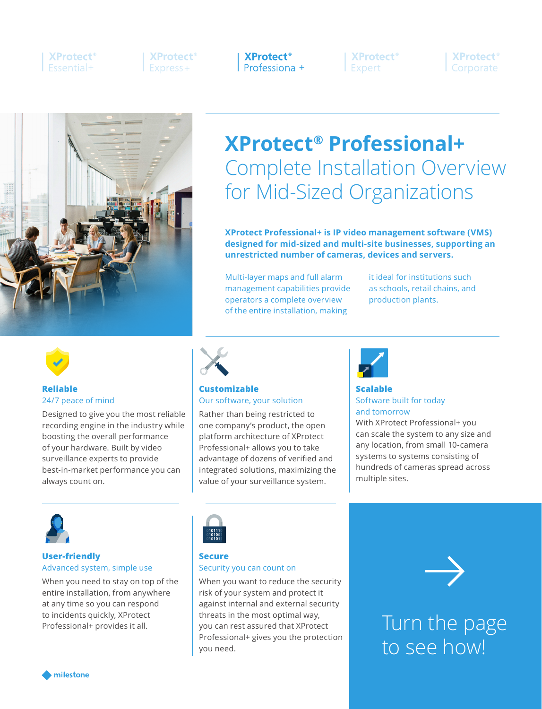# **XProtect**<sup>®</sup> **Fssential+**

**XProtect**<sup>®</sup> Express+

**XProtect**<sup>®</sup> Professional+

**XProtect**<sup>®</sup> Expert

**XProtect**<sup>®</sup> Corporate



# **XProtect® Professional+** Complete Installation Overview for Mid-Sized Organizations

**XProtect Professional+ is IP video management software (VMS) designed for mid-sized and multi-site businesses, supporting an unrestricted number of cameras, devices and servers.** 

Multi-layer maps and full alarm management capabilities provide operators a complete overview of the entire installation, making

it ideal for institutions such as schools, retail chains, and production plants.



### **Reliable** 24/7 peace of mind

Designed to give you the most reliable recording engine in the industry while boosting the overall performance of your hardware. Built by video surveillance experts to provide best-in-market performance you can always count on.



#### **Customizable** Our software, your solution

Rather than being restricted to one company's product, the open platform architecture of XProtect Professional+ allows you to take advantage of dozens of verified and integrated solutions, maximizing the value of your surveillance system.



#### **Scalable** Software built for today and tomorrow

With XProtect Professional+ you can scale the system to any size and any location, from small 10-camera systems to systems consisting of hundreds of cameras spread across multiple sites.



## **User-friendly** Advanced system, simple use

When you need to stay on top of the entire installation, from anywhere at any time so you can respond to incidents quickly, XProtect Professional+ provides it all.



# **Secure** Security you can count on

When you want to reduce the security risk of your system and protect it against internal and external security threats in the most optimal way, you can rest assured that XProtect Professional+ gives you the protection you need.



Turn the page to see how!